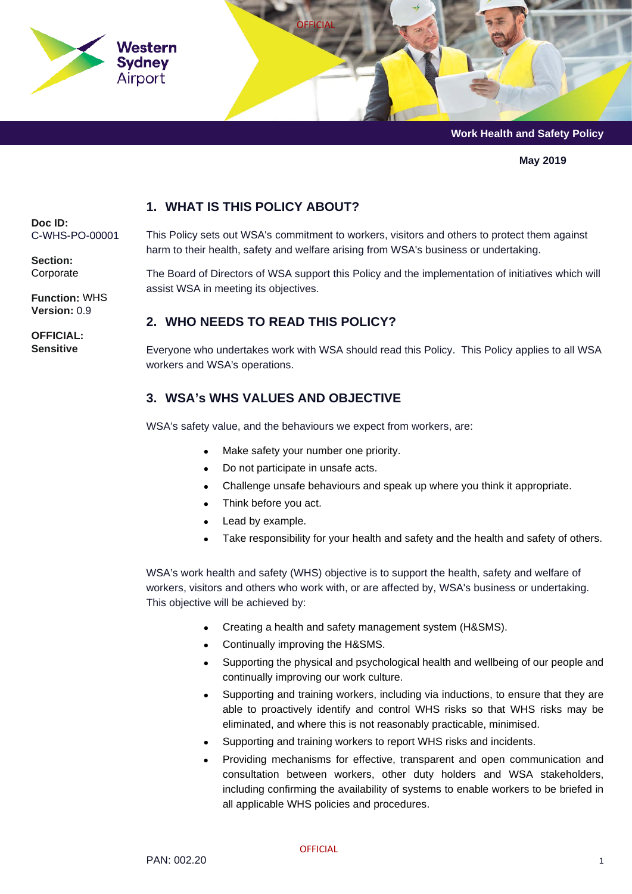

**May 2019**

#### **1. WHAT IS THIS POLICY ABOUT?**

**Doc ID:**  C-WHS-PO-00001

**Function:** WHS **Version:** 0.9

**OFFICIAL: Sensitive**

**Section:** Corporate This Policy sets out WSA's commitment to workers, visitors and others to protect them against harm to their health, safety and welfare arising from WSA's business or undertaking.

The Board of Directors of WSA support this Policy and the implementation of initiatives which will assist WSA in meeting its objectives.

## **2. WHO NEEDS TO READ THIS POLICY?**

Everyone who undertakes work with WSA should read this Policy. This Policy applies to all WSA workers and WSA's operations.

## **3. WSA's WHS VALUES AND OBJECTIVE**

WSA's safety value, and the behaviours we expect from workers, are:

- Make safety your number one priority.
- Do not participate in unsafe acts.
- Challenge unsafe behaviours and speak up where you think it appropriate.
- Think before you act.
- Lead by example.
- Take responsibility for your health and safety and the health and safety of others.

WSA's work health and safety (WHS) objective is to support the health, safety and welfare of workers, visitors and others who work with, or are affected by, WSA's business or undertaking. This objective will be achieved by:

- Creating a health and safety management system (H&SMS).
- Continually improving the H&SMS.
- Supporting the physical and psychological health and wellbeing of our people and continually improving our work culture.
- Supporting and training workers, including via inductions, to ensure that they are able to proactively identify and control WHS risks so that WHS risks may be eliminated, and where this is not reasonably practicable, minimised.
- Supporting and training workers to report WHS risks and incidents.
- Providing mechanisms for effective, transparent and open communication and consultation between workers, other duty holders and WSA stakeholders, including confirming the availability of systems to enable workers to be briefed in all applicable WHS policies and procedures.

PAN: 002.20 1

#### OFFICIAL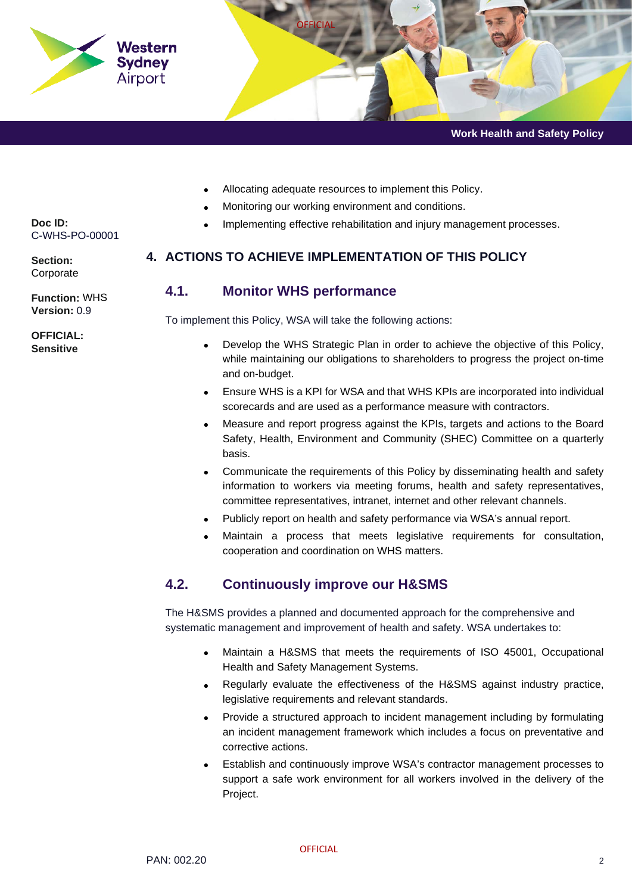

- Allocating adequate resources to implement this Policy.
- Monitoring our working environment and conditions.
- Implementing effective rehabilitation and injury management processes.

#### **4. ACTIONS TO ACHIEVE IMPLEMENTATION OF THIS POLICY**

#### **4.1. Monitor WHS performance**

To implement this Policy, WSA will take the following actions:

- Develop the WHS Strategic Plan in order to achieve the objective of this Policy, while maintaining our obligations to shareholders to progress the project on-time and on-budget.
- Ensure WHS is a KPI for WSA and that WHS KPIs are incorporated into individual scorecards and are used as a performance measure with contractors.
- Measure and report progress against the KPIs, targets and actions to the Board Safety, Health, Environment and Community (SHEC) Committee on a quarterly basis.
- Communicate the requirements of this Policy by disseminating health and safety information to workers via meeting forums, health and safety representatives, committee representatives, intranet, internet and other relevant channels.
- Publicly report on health and safety performance via WSA's annual report.
- Maintain a process that meets legislative requirements for consultation, cooperation and coordination on WHS matters.

## **4.2. Continuously improve our H&SMS**

The H&SMS provides a planned and documented approach for the comprehensive and systematic management and improvement of health and safety. WSA undertakes to:

- Maintain a H&SMS that meets the requirements of ISO 45001, Occupational Health and Safety Management Systems.
- Regularly evaluate the effectiveness of the H&SMS against industry practice, legislative requirements and relevant standards.
- Provide a structured approach to incident management including by formulating an incident management framework which includes a focus on preventative and corrective actions.
- Establish and continuously improve WSA's contractor management processes to support a safe work environment for all workers involved in the delivery of the Project.

**Doc ID:**  C-WHS-PO-00001

**Section:** Corporate

**Function:** WHS **Version:** 0.9

**OFFICIAL: Sensitive**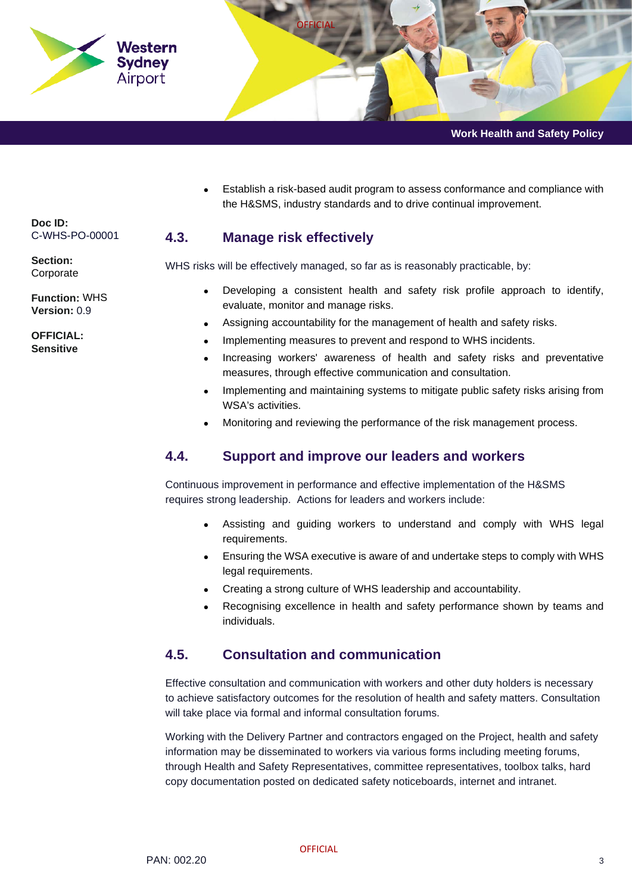

• Establish a risk-based audit program to assess conformance and compliance with the H&SMS, industry standards and to drive continual improvement.

# **4.3. Manage risk effectively**

WHS risks will be effectively managed, so far as is reasonably practicable, by:

- Developing a consistent health and safety risk profile approach to identify, evaluate, monitor and manage risks.
- Assigning accountability for the management of health and safety risks.
- Implementing measures to prevent and respond to WHS incidents.
- Increasing workers' awareness of health and safety risks and preventative measures, through effective communication and consultation.
- Implementing and maintaining systems to mitigate public safety risks arising from WSA's activities.
- Monitoring and reviewing the performance of the risk management process.

## **4.4. Support and improve our leaders and workers**

Continuous improvement in performance and effective implementation of the H&SMS requires strong leadership. Actions for leaders and workers include:

- Assisting and guiding workers to understand and comply with WHS legal requirements.
- Ensuring the WSA executive is aware of and undertake steps to comply with WHS legal requirements.
- Creating a strong culture of WHS leadership and accountability.
- Recognising excellence in health and safety performance shown by teams and individuals.

## **4.5. Consultation and communication**

Effective consultation and communication with workers and other duty holders is necessary to achieve satisfactory outcomes for the resolution of health and safety matters. Consultation will take place via formal and informal consultation forums.

Working with the Delivery Partner and contractors engaged on the Project, health and safety information may be disseminated to workers via various forms including meeting forums, through Health and Safety Representatives, committee representatives, toolbox talks, hard copy documentation posted on dedicated safety noticeboards, internet and intranet.

**Doc ID:**  C-WHS-PO-00001

**Section:** Corporate

**Function:** WHS **Version:** 0.9

**OFFICIAL: Sensitive**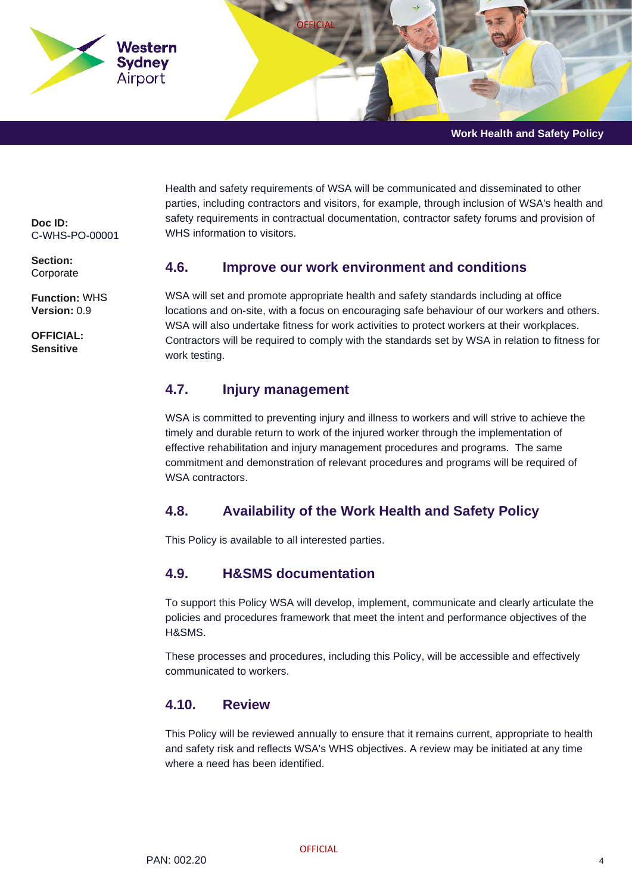

**Doc ID:**  C-WHS-PO-00001

**Section:** Corporate

**Function:** WHS **Version:** 0.9

**OFFICIAL: Sensitive**

Health and safety requirements of WSA will be communicated and disseminated to other parties, including contractors and visitors, for example, through inclusion of WSA's health and safety requirements in contractual documentation, contractor safety forums and provision of WHS information to visitors.

#### **4.6. Improve our work environment and conditions**

WSA will set and promote appropriate health and safety standards including at office locations and on-site, with a focus on encouraging safe behaviour of our workers and others. WSA will also undertake fitness for work activities to protect workers at their workplaces. Contractors will be required to comply with the standards set by WSA in relation to fitness for work testing.

## **4.7. Injury management**

WSA is committed to preventing injury and illness to workers and will strive to achieve the timely and durable return to work of the injured worker through the implementation of effective rehabilitation and injury management procedures and programs. The same commitment and demonstration of relevant procedures and programs will be required of WSA contractors.

# **4.8. Availability of the Work Health and Safety Policy**

This Policy is available to all interested parties.

## **4.9. H&SMS documentation**

To support this Policy WSA will develop, implement, communicate and clearly articulate the policies and procedures framework that meet the intent and performance objectives of the H&SMS.

These processes and procedures, including this Policy, will be accessible and effectively communicated to workers.

## **4.10. Review**

This Policy will be reviewed annually to ensure that it remains current, appropriate to health and safety risk and reflects WSA's WHS objectives. A review may be initiated at any time where a need has been identified.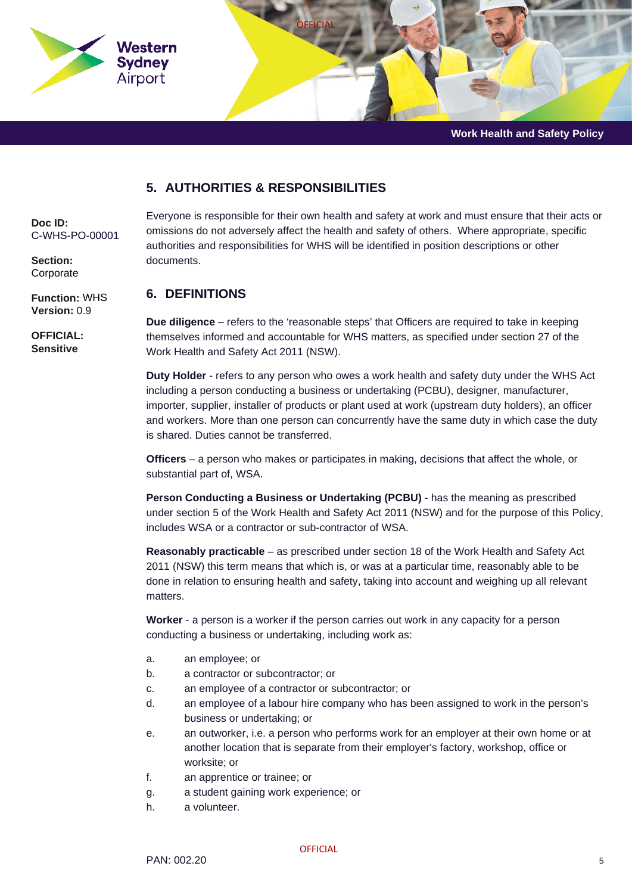

## **5. AUTHORITIES & RESPONSIBILITIES**

**Doc ID:**  C-WHS-PO-00001

**Section:** Corporate

**Function:** WHS **Version:** 0.9

**OFFICIAL: Sensitive**

Everyone is responsible for their own health and safety at work and must ensure that their acts or omissions do not adversely affect the health and safety of others. Where appropriate, specific authorities and responsibilities for WHS will be identified in position descriptions or other documents.

#### **6. DEFINITIONS**

**Due diligence** – refers to the 'reasonable steps' that Officers are required to take in keeping themselves informed and accountable for WHS matters, as specified under section 27 of the Work Health and Safety Act 2011 (NSW).

**Duty Holder** - refers to any person who owes a work health and safety duty under the WHS Act including a person conducting a business or undertaking (PCBU), designer, manufacturer, importer, supplier, installer of products or plant used at work (upstream duty holders), an officer and workers. More than one person can concurrently have the same duty in which case the duty is shared. Duties cannot be transferred.

**Officers** – a person who makes or participates in making, decisions that affect the whole, or substantial part of, WSA.

**Person Conducting a Business or Undertaking (PCBU)** - has the meaning as prescribed under section 5 of the Work Health and Safety Act 2011 (NSW) and for the purpose of this Policy, includes WSA or a contractor or sub-contractor of WSA.

**Reasonably practicable** – as prescribed under section 18 of the Work Health and Safety Act 2011 (NSW) this term means that which is, or was at a particular time, reasonably able to be done in relation to ensuring health and safety, taking into account and weighing up all relevant matters.

**Worker** - a person is a worker if the person carries out work in any capacity for a person conducting a business or undertaking, including work as:

- a. an employee; or
- b. a contractor or subcontractor; or
- c. an employee of a contractor or subcontractor; or
- d. an employee of a labour hire company who has been assigned to work in the person's business or undertaking; or
- e. an outworker, i.e. a person who performs work for an employer at their own home or at another location that is separate from their employer's factory, workshop, office or worksite; or
- f. an apprentice or trainee; or
- g. a student gaining work experience; or
- h. a volunteer.